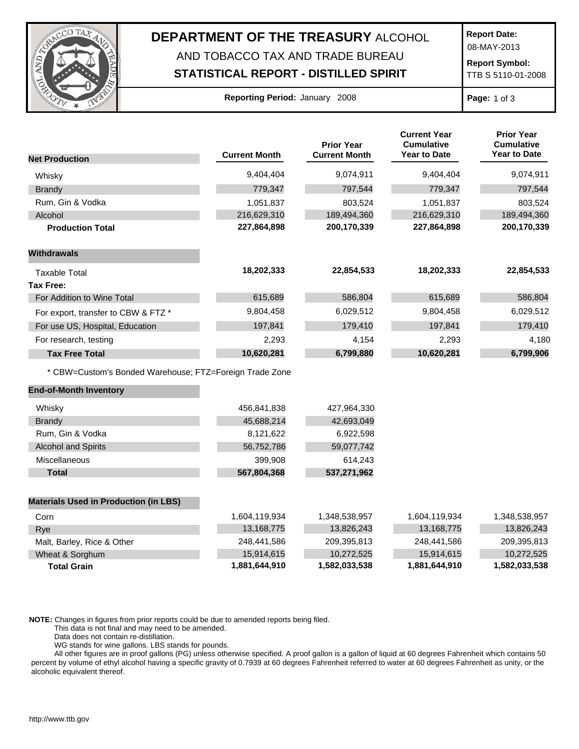

## **DEPARTMENT OF THE TREASURY** ALCOHOL AND TOBACCO TAX AND TRADE BUREAU

## **STATISTICAL REPORT - DISTILLED SPIRIT**

**Report Date:**

08-MAY-2013

**Report Symbol:** TTB S 5110-01-2008

| Reporting Period: January 2008 |  |  |  |
|--------------------------------|--|--|--|
|--------------------------------|--|--|--|

**Page:** 1 of 3

|                                                         |                      | <b>Prior Year</b>    | <b>Current Year</b><br><b>Cumulative</b> | <b>Prior Year</b><br><b>Cumulative</b> |
|---------------------------------------------------------|----------------------|----------------------|------------------------------------------|----------------------------------------|
| <b>Net Production</b>                                   | <b>Current Month</b> | <b>Current Month</b> | Year to Date                             | <b>Year to Date</b>                    |
| Whisky                                                  | 9,404,404            | 9,074,911            | 9,404,404                                | 9,074,911                              |
| <b>Brandy</b>                                           | 779,347              | 797,544              | 779,347                                  | 797,544                                |
| Rum, Gin & Vodka                                        | 1,051,837            | 803,524              | 1,051,837                                | 803,524                                |
| Alcohol                                                 | 216,629,310          | 189,494,360          | 216,629,310                              | 189,494,360                            |
| <b>Production Total</b>                                 | 227,864,898          | 200,170,339          | 227,864,898                              | 200,170,339                            |
| <b>Withdrawals</b>                                      |                      |                      |                                          |                                        |
| <b>Taxable Total</b>                                    | 18,202,333           | 22,854,533           | 18,202,333                               | 22,854,533                             |
| <b>Tax Free:</b>                                        |                      |                      |                                          |                                        |
| For Addition to Wine Total                              | 615,689              | 586,804              | 615,689                                  | 586,804                                |
| For export, transfer to CBW & FTZ *                     | 9,804,458            | 6,029,512            | 9,804,458                                | 6,029,512                              |
| For use US, Hospital, Education                         | 197,841              | 179,410              | 197,841                                  | 179,410                                |
| For research, testing                                   | 2,293                | 4,154                | 2,293                                    | 4,180                                  |
| <b>Tax Free Total</b>                                   | 10,620,281           | 6,799,880            | 10,620,281                               | 6,799,906                              |
| * CBW=Custom's Bonded Warehouse; FTZ=Foreign Trade Zone |                      |                      |                                          |                                        |
| <b>End-of-Month Inventory</b>                           |                      |                      |                                          |                                        |
| Whisky                                                  | 456,841,838          | 427,964,330          |                                          |                                        |
| <b>Brandy</b>                                           | 45,688,214           | 42,693,049           |                                          |                                        |
| Rum, Gin & Vodka                                        | 8,121,622            | 6,922,598            |                                          |                                        |
| <b>Alcohol and Spirits</b>                              | 56,752,786           | 59,077,742           |                                          |                                        |
| Miscellaneous                                           | 399,908              | 614,243              |                                          |                                        |
| <b>Total</b>                                            | 567,804,368          | 537,271,962          |                                          |                                        |
| <b>Materials Used in Production (in LBS)</b>            |                      |                      |                                          |                                        |
| Corn                                                    | 1,604,119,934        | 1,348,538,957        | 1,604,119,934                            | 1,348,538,957                          |
| Rye                                                     | 13,168,775           | 13,826,243           | 13,168,775                               | 13,826,243                             |
| Malt, Barley, Rice & Other                              | 248,441,586          | 209,395,813          | 248,441,586                              | 209,395,813                            |
| Wheat & Sorghum                                         | 15,914,615           | 10,272,525           | 15,914,615                               | 10,272,525                             |
| <b>Total Grain</b>                                      | 1,881,644,910        | 1,582,033,538        | 1,881,644,910                            | 1,582,033,538                          |

**NOTE:** Changes in figures from prior reports could be due to amended reports being filed.

This data is not final and may need to be amended.

Data does not contain re-distillation.

WG stands for wine gallons. LBS stands for pounds.

All other figures are in proof gallons (PG) unless otherwise specified. A proof gallon is a gallon of liquid at 60 degrees Fahrenheit which contains 50 percent by volume of ethyl alcohol having a specific gravity of 0.7939 at 60 degrees Fahrenheit referred to water at 60 degrees Fahrenheit as unity, or the alcoholic equivalent thereof.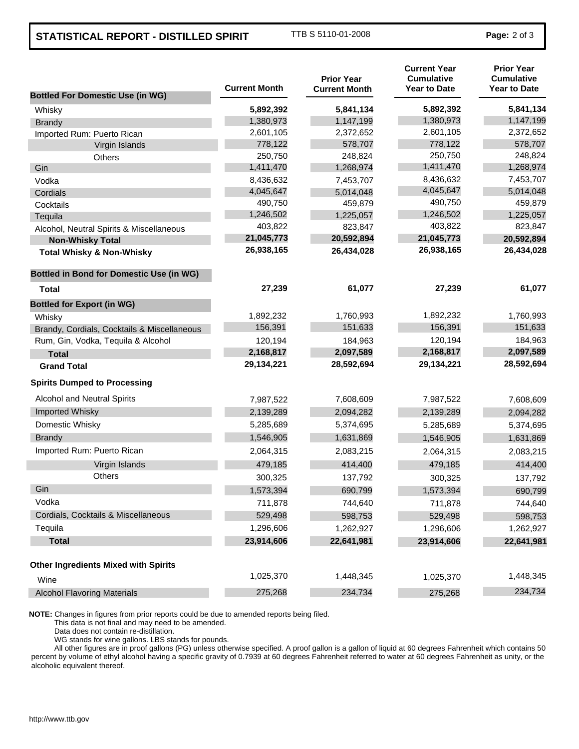## **STATISTICAL REPORT - DISTILLED SPIRIT** TTB S 5110-01-2008 **Page: 2 of 3**

| <b>Bottled For Domestic Use (in WG)</b>         | <b>Current Month</b> | <b>Prior Year</b><br><b>Current Month</b> | <b>Current Year</b><br><b>Cumulative</b><br><b>Year to Date</b> | <b>Prior Year</b><br><b>Cumulative</b><br><b>Year to Date</b> |
|-------------------------------------------------|----------------------|-------------------------------------------|-----------------------------------------------------------------|---------------------------------------------------------------|
| Whisky                                          | 5,892,392            | 5,841,134                                 | 5,892,392                                                       | 5,841,134                                                     |
| <b>Brandy</b>                                   | 1,380,973            | 1,147,199                                 | 1,380,973                                                       | 1,147,199                                                     |
| Imported Rum: Puerto Rican                      | 2,601,105            | 2,372,652                                 | 2,601,105                                                       | 2,372,652                                                     |
| Virgin Islands                                  | 778,122              | 578,707                                   | 778,122                                                         | 578,707                                                       |
| Others                                          | 250,750              | 248,824                                   | 250,750                                                         | 248,824                                                       |
| Gin                                             | 1,411,470            | 1,268,974                                 | 1,411,470                                                       | 1,268,974                                                     |
| Vodka                                           | 8,436,632            | 7,453,707                                 | 8,436,632                                                       | 7,453,707                                                     |
| Cordials                                        | 4,045,647            | 5,014,048                                 | 4,045,647                                                       | 5,014,048                                                     |
| Cocktails                                       | 490,750              | 459,879                                   | 490,750                                                         | 459,879                                                       |
| Tequila                                         | 1,246,502            | 1,225,057                                 | 1,246,502                                                       | 1,225,057                                                     |
| Alcohol, Neutral Spirits & Miscellaneous        | 403,822              | 823,847                                   | 403,822                                                         | 823,847                                                       |
| <b>Non-Whisky Total</b>                         | 21,045,773           | 20,592,894                                | 21,045,773                                                      | 20,592,894                                                    |
| <b>Total Whisky &amp; Non-Whisky</b>            | 26,938,165           | 26,434,028                                | 26,938,165                                                      | 26,434,028                                                    |
| <b>Bottled in Bond for Domestic Use (in WG)</b> |                      |                                           |                                                                 |                                                               |
| Total                                           | 27,239               | 61,077                                    | 27,239                                                          | 61,077                                                        |
| <b>Bottled for Export (in WG)</b>               |                      |                                           |                                                                 |                                                               |
| Whisky                                          | 1,892,232            | 1,760,993                                 | 1,892,232                                                       | 1,760,993                                                     |
| Brandy, Cordials, Cocktails & Miscellaneous     | 156,391              | 151,633                                   | 156,391                                                         | 151,633                                                       |
| Rum, Gin, Vodka, Tequila & Alcohol              | 120,194              | 184,963                                   | 120,194                                                         | 184,963                                                       |
| <b>Total</b>                                    | 2,168,817            | 2,097,589                                 | 2,168,817                                                       | 2,097,589                                                     |
| <b>Grand Total</b>                              | 29,134,221           | 28,592,694                                | 29,134,221                                                      | 28,592,694                                                    |
| <b>Spirits Dumped to Processing</b>             |                      |                                           |                                                                 |                                                               |
| Alcohol and Neutral Spirits                     | 7,987,522            | 7,608,609                                 | 7,987,522                                                       | 7,608,609                                                     |
| Imported Whisky                                 | 2,139,289            | 2,094,282                                 | 2,139,289                                                       | 2,094,282                                                     |
| Domestic Whisky                                 | 5,285,689            | 5,374,695                                 | 5,285,689                                                       | 5,374,695                                                     |
| <b>Brandy</b>                                   | 1,546,905            | 1,631,869                                 | 1,546,905                                                       | 1,631,869                                                     |
| Imported Rum: Puerto Rican                      | 2,064,315            | 2,083,215                                 | 2,064,315                                                       | 2,083,215                                                     |
| Virgin Islands                                  | 479,185              | 414,400                                   | 479,185                                                         | 414,400                                                       |
| <b>Others</b>                                   | 300,325              | 137,792                                   | 300,325                                                         | 137,792                                                       |
| Gin                                             | 1,573,394            | 690,799                                   | 1,573,394                                                       | 690,799                                                       |
| Vodka                                           | 711,878              | 744,640                                   | 711,878                                                         | 744,640                                                       |
| Cordials, Cocktails & Miscellaneous             | 529,498              | 598,753                                   | 529,498                                                         | 598,753                                                       |
| Tequila                                         | 1,296,606            | 1,262,927                                 | 1,296,606                                                       | 1,262,927                                                     |
| <b>Total</b>                                    | 23,914,606           | 22,641,981                                | 23,914,606                                                      | 22,641,981                                                    |
| <b>Other Ingredients Mixed with Spirits</b>     |                      |                                           |                                                                 |                                                               |
| Wine                                            | 1,025,370            | 1,448,345                                 | 1,025,370                                                       | 1,448,345                                                     |
| <b>Alcohol Flavoring Materials</b>              | 275,268              | 234,734                                   | 275,268                                                         | 234,734                                                       |

**NOTE:** Changes in figures from prior reports could be due to amended reports being filed.

This data is not final and may need to be amended.

Data does not contain re-distillation.

WG stands for wine gallons. LBS stands for pounds.

All other figures are in proof gallons (PG) unless otherwise specified. A proof gallon is a gallon of liquid at 60 degrees Fahrenheit which contains 50 percent by volume of ethyl alcohol having a specific gravity of 0.7939 at 60 degrees Fahrenheit referred to water at 60 degrees Fahrenheit as unity, or the alcoholic equivalent thereof.